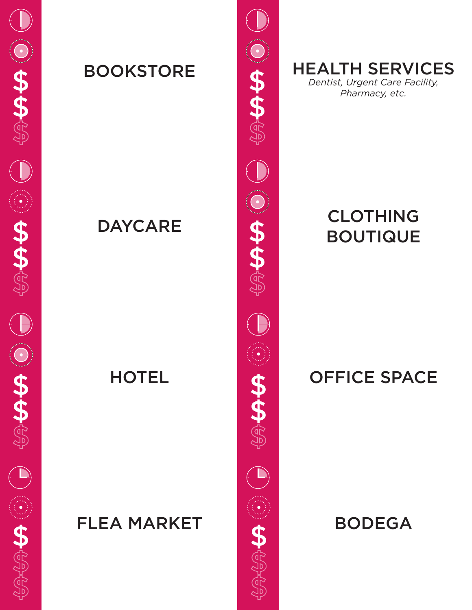

BOOKSTORE **A** HEALTH SERVICES *Dentist, Urgent Care Facility, Pharmacy, etc.*

# DAYCARE **CLOTHING** BOUTIQUE

### HOTEL **OFFICE SPACE**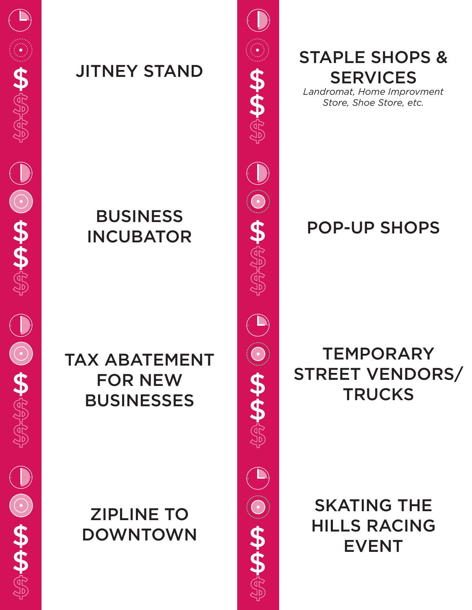\$ JITNEY STAND \$

## BUSINESS INCUBATOR SPOP-UP SHOPS

TAX ABATEMENT FOR NEW **BUSINESSES** 

# ZIPLINE TO DOWNTOWN



STAPLE SHOPS & **SERVICES** 

*Landromat, Home Improvment Store, Shoe Store, etc.*

# **TEMPORARY** STREET VENDORS/ **TRUCKS**

SKATING THE HILLS RACING EVENT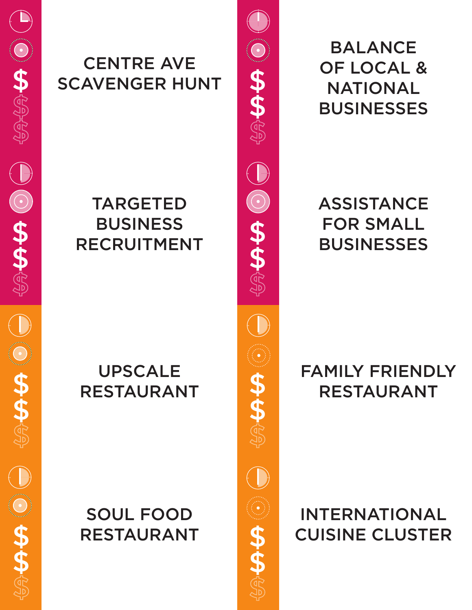

### CENTRE AVE SCAVENGER HUNT

# TARGETED BUSINESS RECRUITMENT

# UPSCALE RESTAURANT

# SOUL FOOD RESTAURANT



BALANCE OF LOCAL & NATIONAL **BUSINESSES** 

**ASSISTANCE** FOR SMALL **BUSINESSES** 

## FAMILY FRIENDLY RESTAURANT

INTERNATIONAL CUISINE CLUSTER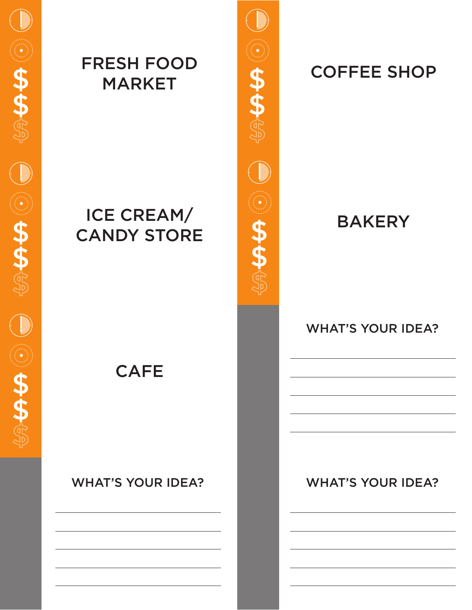### FRESH FOOD ESH FUUD<br>MARKET SPORT SPORT SHOP

## ICE CREAM/ CANDY STORE

**CAFE** 

#### WHAT'S YOUR IDEA? WHAT'S YOUR IDEA?



### **BAKERY**

#### WHAT'S YOUR IDEA?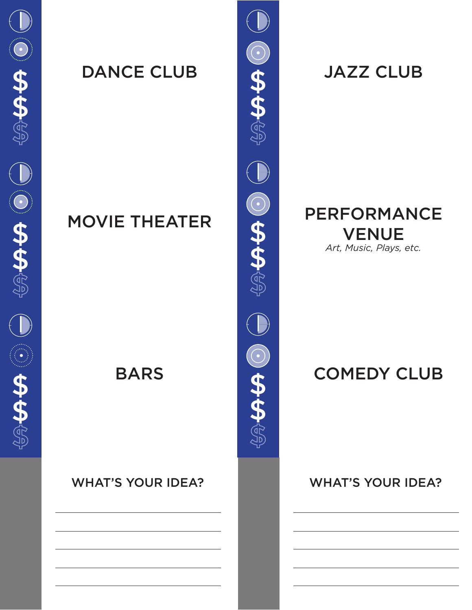DANCE CLUB **GALLER** JAZZ CLUB

#### WHAT'S YOUR IDEA? WHAT'S YOUR IDEA?



#### MOVIE THEATER PERFORMANCE VENUE *Art, Music, Plays, etc.*

### BARS **COMEDY CLUB**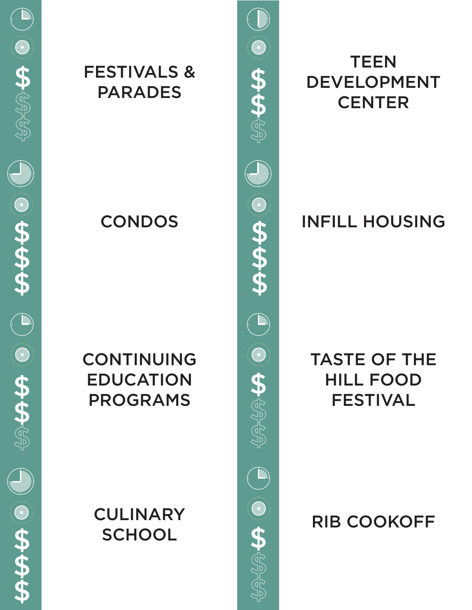#### \$ FESTIVALS & \$ PARADES

### CONTINUING EDUCATION PROGRAMS

# **CULINARY** \$ SCHOOL \$



# **TEEN** DEVELOPMENT **CENTER**

# CONDOS INFILL HOUSING

### TASTE OF THE HILL FOOD FESTIVAL

# RIB COOKOFF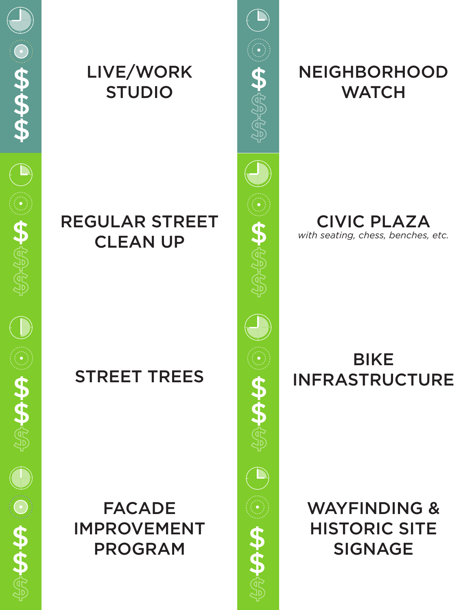### LIVE/WORK STUDIO

### REGULAR STREET CLEAN UP

# STREET TREES

FACADE IMPROVEMENT PROGRAM



# **NEIGHBORHOOD WATCH**

CIVIC PLAZA *with seating, chess, benches, etc.*

### **BIKE** INFRASTRUCTURE

WAYFINDING & HISTORIC SITE SIGNAGE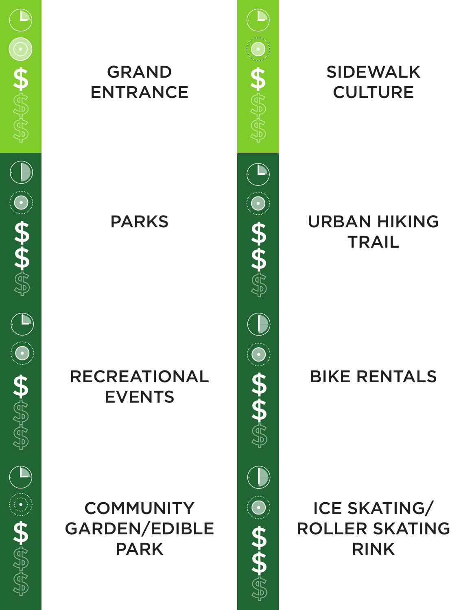

#### GRAND ENTRANCE \$ \$

### RECREATIONAL EVENTS

# **COMMUNITY** GARDEN/EDIBLE PARK



# SIDEWALK **CULTURE**

### PARKS **DESIGNATIONS TRAIL**

# BIKE RENTALS

ICE SKATING/ ROLLER SKATING RINK